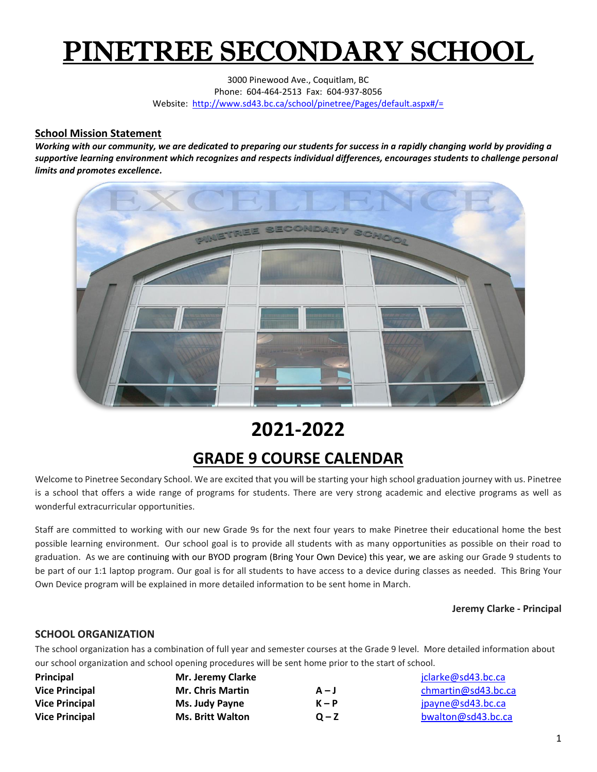# PINETREE SECONDARY SCHOOL

3000 Pinewood Ave., Coquitlam, BC Phone: 604-464-2513 Fax: 604-937-8056 Website:<http://www.sd43.bc.ca/school/pinetree/Pages/default.aspx#/=>

#### **School Mission Statement**

*Working with our community, we are dedicated to preparing our students for success in a rapidly changing world by providing a supportive learning environment which recognizes and respects individual differences, encourages students to challenge personal limits and promotes excellence.*



## **2021-2022**

## **GRADE 9 COURSE CALENDAR**

Welcome to Pinetree Secondary School. We are excited that you will be starting your high school graduation journey with us. Pinetree is a school that offers a wide range of programs for students. There are very strong academic and elective programs as well as wonderful extracurricular opportunities.

Staff are committed to working with our new Grade 9s for the next four years to make Pinetree their educational home the best possible learning environment. Our school goal is to provide all students with as many opportunities as possible on their road to graduation. As we are continuing with our BYOD program (Bring Your Own Device) this year, we are asking our Grade 9 students to be part of our 1:1 laptop program. Our goal is for all students to have access to a device during classes as needed. This Bring Your Own Device program will be explained in more detailed information to be sent home in March.

#### **Jeremy Clarke - Principal**

#### **SCHOOL ORGANIZATION**

The school organization has a combination of full year and semester courses at the Grade 9 level. More detailed information about our school organization and school opening procedures will be sent home prior to the start of school.

| Principal             | Mr. Jeremy Clarke       |         | jclarke@sd43.bc.ca  |
|-----------------------|-------------------------|---------|---------------------|
| <b>Vice Principal</b> | <b>Mr. Chris Martin</b> | $A - J$ | chmartin@sd43.bc.ca |
| <b>Vice Principal</b> | Ms. Judy Payne          | $K - P$ | jpayne@sd43.bc.ca   |
| <b>Vice Principal</b> | <b>Ms. Britt Walton</b> | $Q - Z$ | bwalton@sd43.bc.ca  |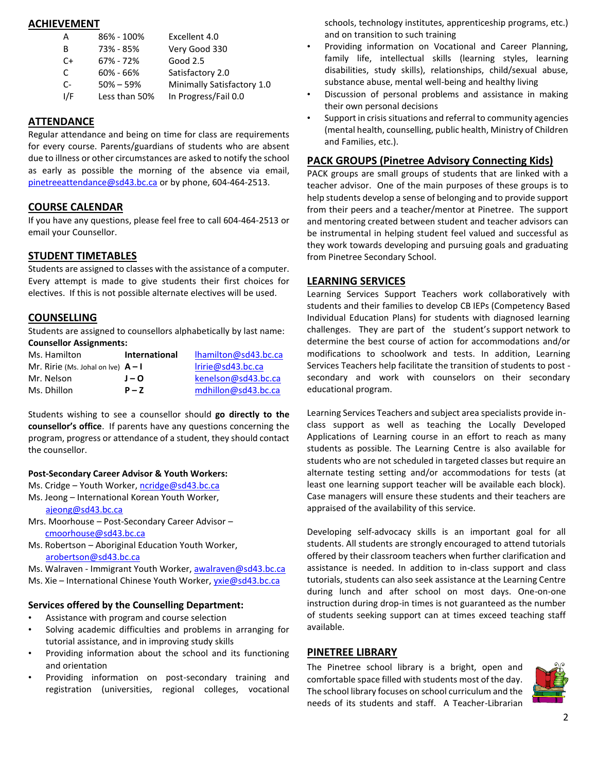#### **ACHIEVEMENT**

| A   | 86% - 100%    | Excellent 4.0              |
|-----|---------------|----------------------------|
| В   | 73% - 85%     | Very Good 330              |
| C+  | 67% - 72%     | Good 2.5                   |
| C   | $60\% - 66\%$ | Satisfactory 2.0           |
| C-  | $50\% - 59\%$ | Minimally Satisfactory 1.0 |
| ۱/F | Less than 50% | In Progress/Fail 0.0       |

#### **ATTENDANCE**

Regular attendance and being on time for class are requirements for every course. Parents/guardians of students who are absent due to illness or other circumstances are asked to notify the school as early as possible the morning of the absence via email, [pinetreeattendance@sd43.bc.ca](mailto:pinetreeattendance@sd43.bc.ca) or by phone, 604-464-2513.

#### **COURSE CALENDAR**

If you have any questions, please feel free to call 604-464-2513 or email your Counsellor.

#### **STUDENT TIMETABLES**

Students are assigned to classes with the assistance of a computer. Every attempt is made to give students their first choices for electives. If this is not possible alternate electives will be used.

#### **COUNSELLING**

Students are assigned to counsellors alphabetically by last name: **Counsellor Assignments:**

| Ms. Hamilton                         | <b>International</b> | lhamilton@sd43.bc.ca |
|--------------------------------------|----------------------|----------------------|
| Mr. Ririe (Ms. Johal on Ive) $A - I$ |                      | Iririe@sd43.bc.ca    |
| Mr. Nelson                           | $J - Q$              | kenelson@sd43.bc.ca  |
| Ms. Dhillon                          | $P - 7$              | mdhillon@sd43.bc.ca  |

Students wishing to see a counsellor should **go directly to the counsellor's office**. If parents have any questions concerning the program, progress or attendance of a student, they should contact the counsellor.

#### **Post-Secondary Career Advisor & Youth Workers:**

- Ms. Cridge Youth Worker[, ncridge@sd43.bc.ca](mailto:ncridge@sd43.bc.ca)
- Ms. Jeong International Korean Youth Worker, [ajeong@sd43.bc.ca](mailto:ajeong@sd43.bc.ca)
- Mrs. Moorhouse Post-Secondary Career Advisor [cmoorhouse@sd43.bc.ca](mailto:cmoorhouse@sd43.bc.ca)
- Ms. Robertson Aboriginal Education Youth Worker, [arobertson@sd43.bc.ca](mailto:arobertson@sd43.bc.ca)

Ms. Walraven - Immigrant Youth Worker, [awalraven@sd43.bc.ca](mailto:awalraven@sd43.bc.ca) Ms. Xie – International Chinese Youth Worker, [yxie@sd43.bc.ca](mailto:yxie@sd43.bc.ca)

#### **Services offered by the Counselling Department:**

- Assistance with program and course selection
- Solving academic difficulties and problems in arranging for tutorial assistance, and in improving study skills
- Providing information about the school and its functioning and orientation
- Providing information on post-secondary training and registration (universities, regional colleges, vocational

schools, technology institutes, apprenticeship programs, etc.) and on transition to such training

- Providing information on Vocational and Career Planning, family life, intellectual skills (learning styles, learning disabilities, study skills), relationships, child/sexual abuse, substance abuse, mental well-being and healthy living
- Discussion of personal problems and assistance in making their own personal decisions
- Support in crisis situations and referral to community agencies (mental health, counselling, public health, Ministry of Children and Families, etc.).

#### **PACK GROUPS (Pinetree Advisory Connecting Kids)**

PACK groups are small groups of students that are linked with a teacher advisor. One of the main purposes of these groups is to help students develop a sense of belonging and to provide support from their peers and a teacher/mentor at Pinetree. The support and mentoring created between student and teacher advisors can be instrumental in helping student feel valued and successful as they work towards developing and pursuing goals and graduating from Pinetree Secondary School.

#### **LEARNING SERVICES**

Learning Services Support Teachers work collaboratively with students and their families to develop CB IEPs (Competency Based Individual Education Plans) for students with diagnosed learning challenges. They are part of the student's support network to determine the best course of action for accommodations and/or modifications to schoolwork and tests. In addition, Learning Services Teachers help facilitate the transition of students to post secondary and work with counselors on their secondary educational program.

Learning Services Teachers and subject area specialists provide inclass support as well as teaching the Locally Developed Applications of Learning course in an effort to reach as many students as possible. The Learning Centre is also available for students who are not scheduled in targeted classes but require an alternate testing setting and/or accommodations for tests (at least one learning support teacher will be available each block). Case managers will ensure these students and their teachers are appraised of the availability of this service.

Developing self-advocacy skills is an important goal for all students. All students are strongly encouraged to attend tutorials offered by their classroom teachers when further clarification and assistance is needed. In addition to in-class support and class tutorials, students can also seek assistance at the Learning Centre during lunch and after school on most days. One-on-one instruction during drop-in times is not guaranteed as the number of students seeking support can at times exceed teaching staff available.

#### **PINETREE LIBRARY**

The Pinetree school library is a bright, open and comfortable space filled with students most of the day. The school library focuses on school curriculum and the needs of its students and staff. A Teacher-Librarian

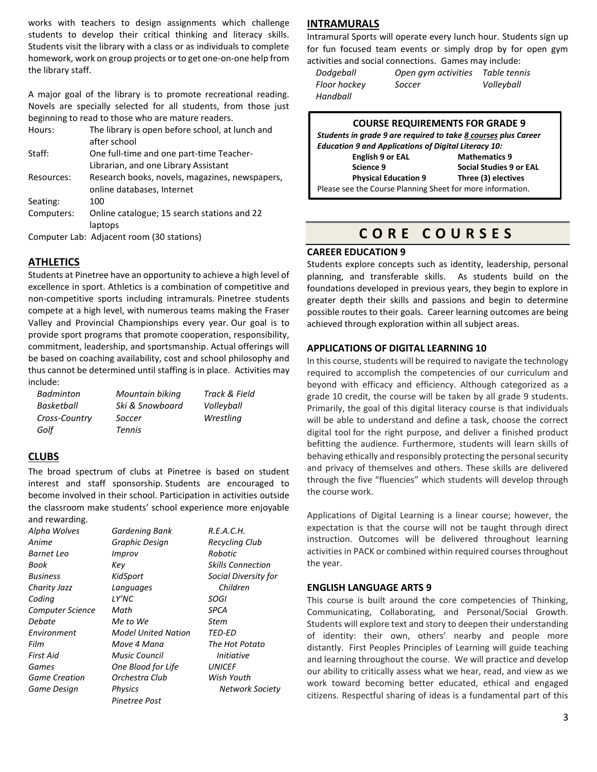works with teachers to design assignments which challenge students to develop their critical thinking and literacy skills. Students visit the library with a class or as individuals to complete homework, work on group projects or to get one-on-one help from the library staff.

A major goal of the library is to promote recreational reading. Novels are specially selected for all students, from those just beginning to read to those who are mature readers.

| Hours:     | The library is open before school, at lunch and |
|------------|-------------------------------------------------|
|            | after school                                    |
| Staff:     | One full-time and one part-time Teacher-        |
|            | Librarian, and one Library Assistant            |
| Resources: | Research books, novels, magazines, newspapers,  |
|            | online databases, Internet                      |
| Seating:   | 100                                             |
| Computers: | Online catalogue; 15 search stations and 22     |
|            | laptops                                         |
|            | Computer Lab: Adjacent room (30 stations)       |

#### **ATHLETICS**

Students at Pinetree have an opportunity to achieve a high level of excellence in sport. Athletics is a combination of competitive and non-competitive sports including intramurals. Pinetree students compete at a high level, with numerous teams making the Fraser Valley and Provincial Championships every year. Our goal is to provide sport programs that promote cooperation, responsibility, commitment, leadership, and sportsmanship. Actual offerings will be based on coaching availability, cost and school philosophy and thus cannot be determined until staffing is in place. Activities may include:

| <b>Badminton</b> | Mountain biking | Track & Field |
|------------------|-----------------|---------------|
| Basketball       | Ski & Snowboard | Volleyball    |
| Cross-Country    | Soccer          | Wrestling     |
| Golf             | Tennis          |               |

#### **CLUBS**

The broad spectrum of clubs at Pinetree is based on student interest and staff sponsorship. Students are encouraged to become involved in their school. Participation in activities outside the classroom make students' school experience more enjoyable and rewarding.

| <u>ana iswaianny.</u> |                     |                       |
|-----------------------|---------------------|-----------------------|
| Alpha Wolves          | Gardening Bank      | R.E.A.C.H.            |
| Anime                 | Graphic Design      | <b>Recycling Club</b> |
| Barnet Leo            | Improv              | Robotic               |
| Book                  | Key                 | Skills Connection     |
| <b>Business</b>       | KidSport            | Social Diversity for  |
| Charity Jazz          | Languages           | Children              |
| Coding                | LY'NC               | SOGI                  |
| Computer Science      | Math                | SPCA                  |
| Debate                | Me to We            | Stem                  |
| Environment           | Model United Nation | TED-ED                |
| Film                  | Move 4 Mana         | The Hot Potato        |
| First Aid             | Music Council       | <i>Initiative</i>     |
| Games                 | One Blood for Life  | <i>UNICEF</i>         |
| <b>Game Creation</b>  | Orchestra Club      | Wish Youth            |
| Game Design           | <b>Physics</b>      | Network Society       |
|                       | Pinetree Post       |                       |

#### **INTRAMURALS**

Intramural Sports will operate every lunch hour. Students sign up for fun focused team events or simply drop by for open gym activities and social connections. Games may include:

| Dodgeball    | Open gym activities | Table tennis |
|--------------|---------------------|--------------|
| Floor hockey | Soccer              | Volleyball   |
| Handball     |                     |              |

#### **COURSE REQUIREMENTS FOR GRADE 9**

| Students in grade 9 are required to take 8 courses plus Career |                      |  |
|----------------------------------------------------------------|----------------------|--|
| <b>Education 9 and Applications of Digital Literacy 10:</b>    |                      |  |
| English 9 or EAL                                               | <b>Mathematics 9</b> |  |
| Social Studies 9 or EAL<br>Science 9                           |                      |  |
| <b>Physical Education 9</b>                                    | Three (3) electives  |  |
| Please see the Course Planning Sheet for more information.     |                      |  |

## **C O R E C O U R S E S**

#### **CAREER EDUCATION 9**

Students explore concepts such as identity, leadership, personal planning, and transferable skills. As students build on the foundations developed in previous years, they begin to explore in greater depth their skills and passions and begin to determine possible routes to their goals. Career learning outcomes are being achieved through exploration within all subject areas.

#### **APPLICATIONS OF DIGITAL LEARNING 10**

In this course, students will be required to navigate the technology required to accomplish the competencies of our curriculum and beyond with efficacy and efficiency. Although categorized as a grade 10 credit, the course will be taken by all grade 9 students. Primarily, the goal of this digital literacy course is that individuals will be able to understand and define a task, choose the correct digital tool for the right purpose, and deliver a finished product befitting the audience. Furthermore, students will learn skills of behaving ethically and responsibly protecting the personal security and privacy of themselves and others. These skills are delivered through the five "fluencies" which students will develop through the course work.

Applications of Digital Learning is a linear course; however, the expectation is that the course will not be taught through direct instruction. Outcomes will be delivered throughout learning activities in PACK or combined within required courses throughout the year.

#### **ENGLISH LANGUAGE ARTS 9**

This course is built around the core competencies of Thinking, Communicating, Collaborating, and Personal/Social Growth. Students will explore text and story to deepen their understanding of identity: their own, others' nearby and people more distantly. First Peoples Principles of Learning will guide teaching and learning throughout the course. We will practice and develop our ability to critically assess what we hear, read, and view as we work toward becoming better educated, ethical and engaged citizens. Respectful sharing of ideas is a fundamental part of this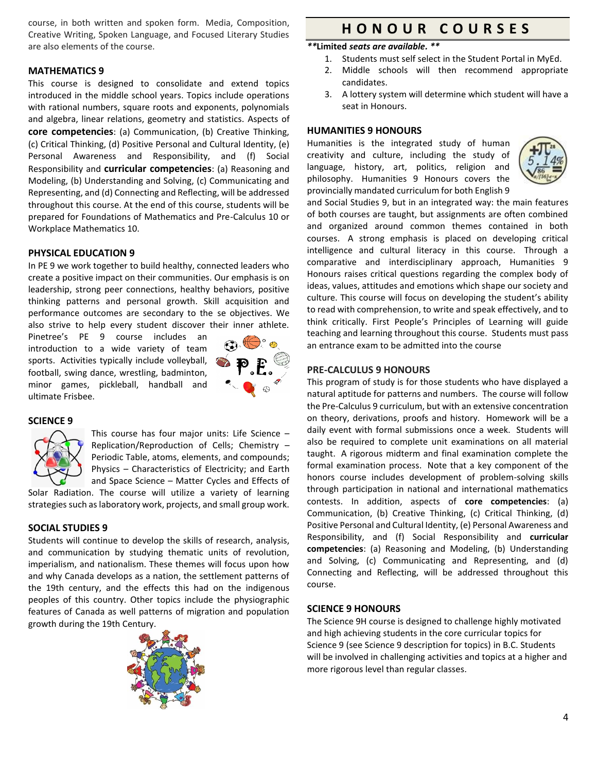course, in both written and spoken form. Media, Composition, Creative Writing, Spoken Language, and Focused Literary Studies are also elements of the course.

#### **MATHEMATICS 9**

This course is designed to consolidate and extend topics introduced in the middle school years. Topics include operations with rational numbers, square roots and exponents, polynomials and algebra, linear relations, geometry and statistics. Aspects of **core competencies**: (a) Communication, (b) Creative Thinking, (c) Critical Thinking, (d) Positive Personal and Cultural Identity, (e) Personal Awareness and Responsibility, and (f) Social Responsibility and **curricular competencies**: (a) Reasoning and Modeling, (b) Understanding and Solving, (c) Communicating and Representing, and (d) Connecting and Reflecting, will be addressed throughout this course. At the end of this course, students will be prepared for Foundations of Mathematics and Pre-Calculus 10 or Workplace Mathematics 10.

#### **PHYSICAL EDUCATION 9**

In PE 9 we work together to build healthy, connected leaders who create a positive impact on their communities. Our emphasis is on leadership, strong peer connections, healthy behaviors, positive thinking patterns and personal growth. Skill acquisition and performance outcomes are secondary to the se objectives. We also strive to help every student discover their inner athlete.

Pinetree's PE 9 course includes an introduction to a wide variety of team sports. Activities typically include volleyball, football, swing dance, wrestling, badminton, minor games, pickleball, handball and ultimate Frisbee.



#### **SCIENCE 9**



This course has four major units: Life Science – Replication/Reproduction of Cells; Chemistry – Periodic Table, atoms, elements, and compounds; Physics – Characteristics of Electricity; and Earth and Space Science – Matter Cycles and Effects of

Solar Radiation. The course will utilize a variety of learning strategies such as laboratory work, projects, and small group work.

#### **SOCIAL STUDIES 9**

Students will continue to develop the skills of research, analysis, and communication by studying thematic units of revolution, imperialism, and nationalism. These themes will focus upon how and why Canada develops as a nation, the settlement patterns of the 19th century, and the effects this had on the indigenous peoples of this country. Other topics include the physiographic features of Canada as well patterns of migration and population growth during the 19th Century.



### **H O N O U R C O U R S E S**

#### *\*\****Limited** *seats are available. \*\**

- 1. Students must self select in the Student Portal in MyEd.
- 2. Middle schools will then recommend appropriate candidates.
- 3. A lottery system will determine which student will have a seat in Honours.

#### **HUMANITIES 9 HONOURS**

Humanities is the integrated study of human creativity and culture, including the study of language, history, art, politics, religion and philosophy. Humanities 9 Honours covers the provincially mandated curriculum for both English 9



and Social Studies 9, but in an integrated way: the main features of both courses are taught, but assignments are often combined and organized around common themes contained in both courses. A strong emphasis is placed on developing critical intelligence and cultural literacy in this course. Through a comparative and interdisciplinary approach, Humanities 9 Honours raises critical questions regarding the complex body of ideas, values, attitudes and emotions which shape our society and culture. This course will focus on developing the student's ability to read with comprehension, to write and speak effectively, and to think critically. First People's Principles of Learning will guide teaching and learning throughout this course. Students must pass an entrance exam to be admitted into the course

#### **PRE-CALCULUS 9 HONOURS**

This program of study is for those students who have displayed a natural aptitude for patterns and numbers. The course will follow the Pre-Calculus 9 curriculum, but with an extensive concentration on theory, derivations, proofs and history. Homework will be a daily event with formal submissions once a week. Students will also be required to complete unit examinations on all material taught. A rigorous midterm and final examination complete the formal examination process. Note that a key component of the honors course includes development of problem-solving skills through participation in national and international mathematics contests. In addition, aspects of **core competencies**: (a) Communication, (b) Creative Thinking, (c) Critical Thinking, (d) Positive Personal and Cultural Identity, (e) Personal Awareness and Responsibility, and (f) Social Responsibility and **curricular competencies**: (a) Reasoning and Modeling, (b) Understanding and Solving, (c) Communicating and Representing, and (d) Connecting and Reflecting, will be addressed throughout this course.

#### **SCIENCE 9 HONOURS**

The Science 9H course is designed to challenge highly motivated and high achieving students in the core curricular topics for Science 9 (see Science 9 description for topics) in B.C. Students will be involved in challenging activities and topics at a higher and more rigorous level than regular classes.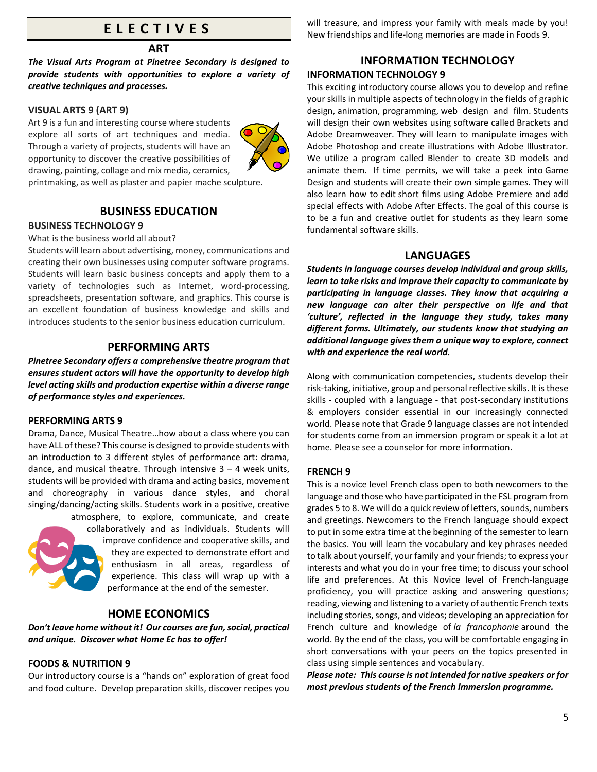## **E L E C T I V E S**

#### **ART**

*The Visual Arts Program at Pinetree Secondary is designed to provide students with opportunities to explore a variety of creative techniques and processes.*

#### **VISUAL ARTS 9 (ART 9)**

Art 9 is a fun and interesting course where students explore all sorts of art techniques and media. Through a variety of projects, students will have an opportunity to discover the creative possibilities of drawing, painting, collage and mix media, ceramics,



printmaking, as well as plaster and papier mache sculpture.

#### **BUSINESS EDUCATION**

#### **BUSINESS TECHNOLOGY 9**

What is the business world all about?

Students will learn about advertising, money, communications and creating their own businesses using computer software programs. Students will learn basic business concepts and apply them to a variety of technologies such as Internet, word-processing, spreadsheets, presentation software, and graphics. This course is an excellent foundation of business knowledge and skills and introduces students to the senior business education curriculum.

#### **PERFORMING ARTS**

*Pinetree Secondary offers a comprehensive theatre program that ensures student actors will have the opportunity to develop high level acting skills and production expertise within a diverse range of performance styles and experiences.* 

#### **PERFORMING ARTS 9**

Drama, Dance, Musical Theatre…how about a class where you can have ALL of these? This course is designed to provide students with an introduction to 3 different styles of performance art: drama, dance, and musical theatre. Through intensive  $3 - 4$  week units, students will be provided with drama and acting basics, movement and choreography in various dance styles, and choral singing/dancing/acting skills. Students work in a positive, creative atmosphere, to explore, communicate, and create



collaboratively and as individuals. Students will improve confidence and cooperative skills, and they are expected to demonstrate effort and enthusiasm in all areas, regardless of experience. This class will wrap up with a performance at the end of the semester.

#### **HOME ECONOMICS**

*Don't leave home without it! Our courses are fun, social, practical and unique. Discover what Home Ec has to offer!*

#### **FOODS & NUTRITION 9**

Our introductory course is a "hands on" exploration of great food and food culture. Develop preparation skills, discover recipes you will treasure, and impress your family with meals made by you! New friendships and life-long memories are made in Foods 9.

#### **INFORMATION TECHNOLOGY INFORMATION TECHNOLOGY 9**

This exciting introductory course allows you to develop and refine your skills in multiple aspects of technology in the fields of graphic design, animation, programming, web design and film. Students will design their own websites using software called Brackets and Adobe Dreamweaver. They will learn to manipulate images with Adobe Photoshop and create illustrations with Adobe Illustrator. We utilize a program called Blender to create 3D models and animate them. If time permits, we will take a peek into Game Design and students will create their own simple games. They will also learn how to edit short films using Adobe Premiere and add special effects with Adobe After Effects. The goal of this course is to be a fun and creative outlet for students as they learn some fundamental software skills.

#### **LANGUAGES**

*Students in language courses develop individual and group skills, learn to take risks and improve their capacity to communicate by participating in language classes. They know that acquiring a new language can alter their perspective on life and that 'culture', reflected in the language they study, takes many different forms. Ultimately, our students know that studying an additional language gives them a unique way to explore, connect with and experience the real world.*

Along with communication competencies, students develop their risk-taking, initiative, group and personal reflective skills. It is these skills - coupled with a language - that post-secondary institutions & employers consider essential in our increasingly connected world. Please note that Grade 9 language classes are not intended for students come from an immersion program or speak it a lot at home. Please see a counselor for more information.

#### **FRENCH 9**

This is a novice level French class open to both newcomers to the language and those who have participated in the FSL program from grades 5 to 8. We will do a quick review of letters, sounds, numbers and greetings. Newcomers to the French language should expect to put in some extra time at the beginning of the semester to learn the basics. You will learn the vocabulary and key phrases needed to talk about yourself, your family and your friends; to express your interests and what you do in your free time; to discuss your school life and preferences. At this Novice level of French-language proficiency, you will practice asking and answering questions; reading, viewing and listening to a variety of authentic French texts including stories, songs, and videos; developing an appreciation for French culture and knowledge of *la francophonie* around the world. By the end of the class, you will be comfortable engaging in short conversations with your peers on the topics presented in class using simple sentences and vocabulary.

*Please note: This course is not intended for native speakers or for most previous students of the French Immersion programme.*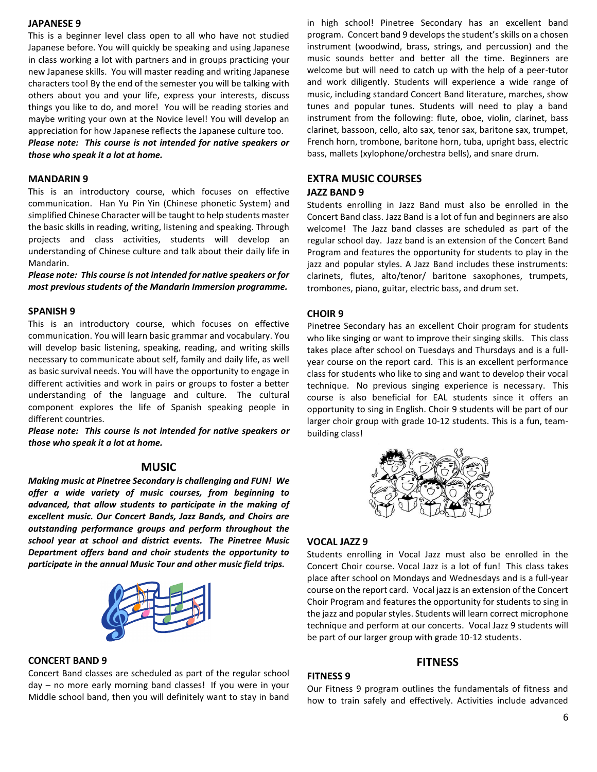#### **JAPANESE 9**

This is a beginner level class open to all who have not studied Japanese before. You will quickly be speaking and using Japanese in class working a lot with partners and in groups practicing your new Japanese skills. You will master reading and writing Japanese characters too! By the end of the semester you will be talking with others about you and your life, express your interests, discuss things you like to do, and more! You will be reading stories and maybe writing your own at the Novice level! You will develop an appreciation for how Japanese reflects the Japanese culture too.

*Please note: This course is not intended for native speakers or those who speak it a lot at home.*

#### **MANDARIN 9**

This is an introductory course, which focuses on effective communication. Han Yu Pin Yin (Chinese phonetic System) and simplified Chinese Character will be taught to help students master the basic skills in reading, writing, listening and speaking. Through projects and class activities, students will develop an understanding of Chinese culture and talk about their daily life in Mandarin.

*Please note: This course is not intended for native speakers or for most previous students of the Mandarin Immersion programme.*

#### **SPANISH 9**

This is an introductory course, which focuses on effective communication. You will learn basic grammar and vocabulary. You will develop basic listening, speaking, reading, and writing skills necessary to communicate about self, family and daily life, as well as basic survival needs. You will have the opportunity to engage in different activities and work in pairs or groups to foster a better understanding of the language and culture. The cultural component explores the life of Spanish speaking people in different countries.

*Please note: This course is not intended for native speakers or those who speak it a lot at home.*

#### **MUSIC**

*Making music at Pinetree Secondary is challenging and FUN! We offer a wide variety of music courses, from beginning to advanced, that allow students to participate in the making of excellent music. Our Concert Bands, Jazz Bands, and Choirs are outstanding performance groups and perform throughout the school year at school and district events. The Pinetree Music Department offers band and choir students the opportunity to participate in the annual Music Tour and other music field trips.* 



#### **CONCERT BAND 9**

Concert Band classes are scheduled as part of the regular school day – no more early morning band classes! If you were in your Middle school band, then you will definitely want to stay in band in high school! Pinetree Secondary has an excellent band program. Concert band 9 develops the student's skills on a chosen instrument (woodwind, brass, strings, and percussion) and the music sounds better and better all the time. Beginners are welcome but will need to catch up with the help of a peer-tutor and work diligently. Students will experience a wide range of music, including standard Concert Band literature, marches, show tunes and popular tunes. Students will need to play a band instrument from the following: flute, oboe, violin, clarinet, bass clarinet, bassoon, cello, alto sax, tenor sax, baritone sax, trumpet, French horn, trombone, baritone horn, tuba, upright bass, electric bass, mallets (xylophone/orchestra bells), and snare drum.

#### **EXTRA MUSIC COURSES**

#### **JAZZ BAND 9**

Students enrolling in Jazz Band must also be enrolled in the Concert Band class. Jazz Band is a lot of fun and beginners are also welcome! The Jazz band classes are scheduled as part of the regular school day. Jazz band is an extension of the Concert Band Program and features the opportunity for students to play in the jazz and popular styles. A Jazz Band includes these instruments: clarinets, flutes, alto/tenor/ baritone saxophones, trumpets, trombones, piano, guitar, electric bass, and drum set.

#### **CHOIR 9**

Pinetree Secondary has an excellent Choir program for students who like singing or want to improve their singing skills. This class takes place after school on Tuesdays and Thursdays and is a fullyear course on the report card. This is an excellent performance class for students who like to sing and want to develop their vocal technique. No previous singing experience is necessary. This course is also beneficial for EAL students since it offers an opportunity to sing in English. Choir 9 students will be part of our larger choir group with grade 10-12 students. This is a fun, teambuilding class!



#### **VOCAL JAZZ 9**

Students enrolling in Vocal Jazz must also be enrolled in the Concert Choir course. Vocal Jazz is a lot of fun! This class takes place after school on Mondays and Wednesdays and is a full-year course on the report card. Vocal jazz is an extension of the Concert Choir Program and features the opportunity for students to sing in the jazz and popular styles. Students will learn correct microphone technique and perform at our concerts. Vocal Jazz 9 students will be part of our larger group with grade 10-12 students.

#### **FITNESS**

#### **FITNESS 9**

Our Fitness 9 program outlines the fundamentals of fitness and how to train safely and effectively. Activities include advanced